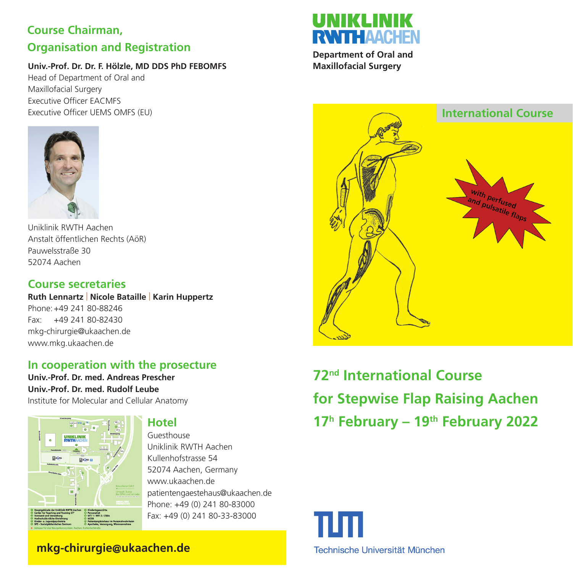## **Course Chairman, Organisation and Registration**

#### **Univ.-Prof. Dr. Dr. F. Hölzle, MD DDS PhD FEBOMFS**

Head of Department of Oral and Maxillofacial Surgery Executive Officer EACMFS Executive Officer UEMS OMFS (EU)



Uniklinik RWTH Aachen Anstalt öffentlichen Rechts (AöR) Pauwelsstraße 30 52074 Aachen

## **Course secretaries**

**Ruth Lennartz** | **Nicole Bataille** | **Karin Huppertz** Phone: +49 241 80-88246 Fax: +49 241 80-82430 mkg-chirurgie@ukaachen.de www.mkg.ukaachen.de

## **In cooperation with the prosecture**

**Univ.-Prof. Dr. med. Andreas Prescher Univ.-Prof. Dr. med. Rudolf Leube** Institute for Molecular and Cellular Anatomy



## **Hotel**

Guesthouse Uniklinik RWTH Aachen Kullenhofstrasse 54 52074 Aachen, Germany www.ukaachen.de patientengaestehaus@ukaachen.de Phone: +49 (0) 241 80-83000 Fax: +49 (0) 241 80-33-83000

# **RANTH AACHEN**

**Department of Oral and Maxillofacial Surgery**



**72nd International Course for Stepwise Flap Raising Aachen 17h February – 19th February 2022**



 **mkg-chirurgie@ukaachen.de**